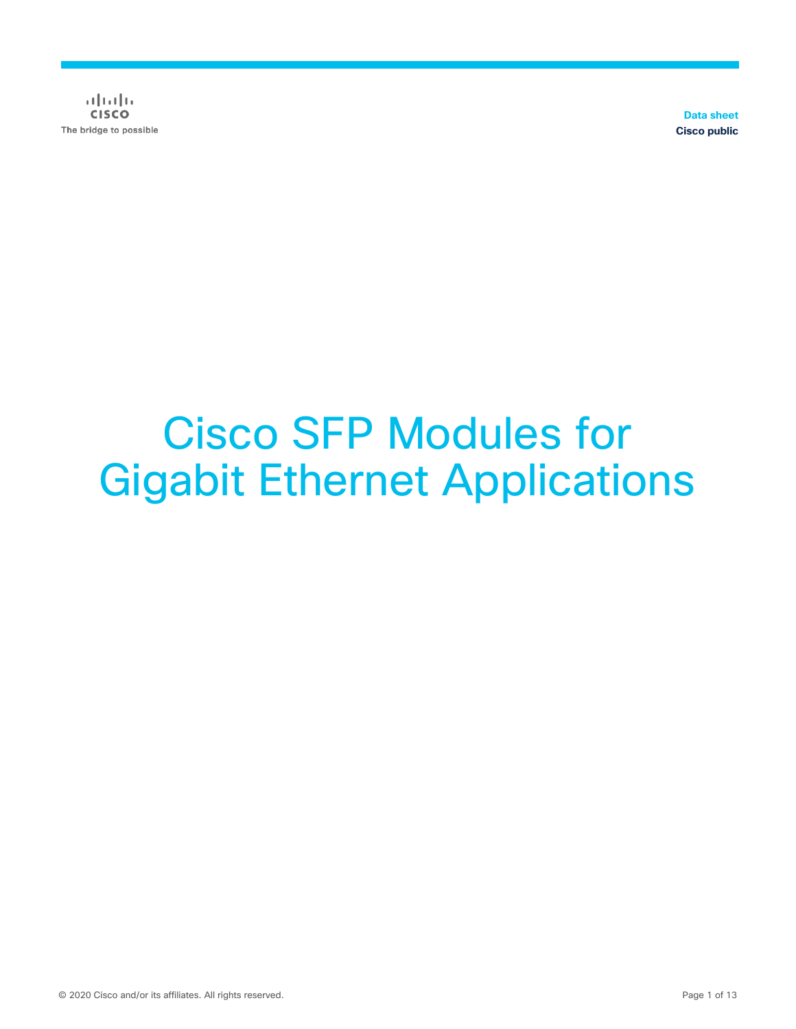$(1)$   $(1)$   $(1)$ **CISCO** The bridge to possible

**Data sheet Cisco public**

# Cisco SFP Modules for Gigabit Ethernet Applications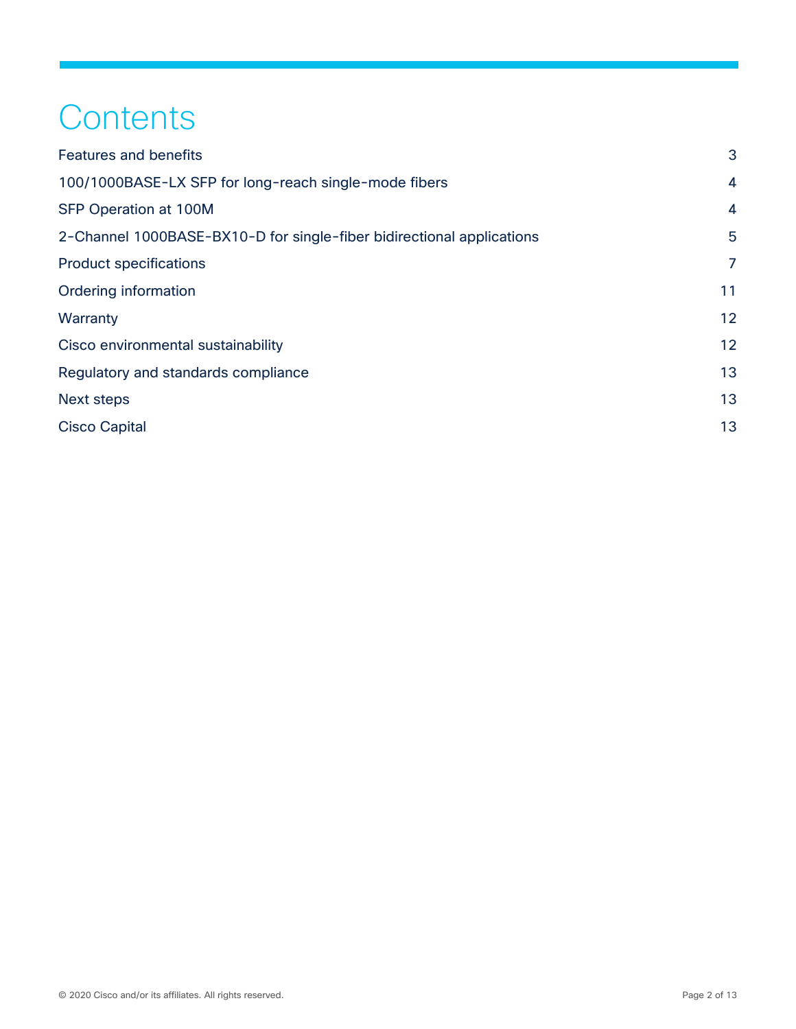## **Contents**

| <b>Features and benefits</b>                                          | 3              |
|-----------------------------------------------------------------------|----------------|
| 100/1000BASE-LX SFP for long-reach single-mode fibers                 | $\overline{4}$ |
| <b>SFP Operation at 100M</b>                                          | $\overline{4}$ |
| 2-Channel 1000BASE-BX10-D for single-fiber bidirectional applications | 5              |
| <b>Product specifications</b>                                         | $\overline{7}$ |
| Ordering information                                                  | 11             |
| Warranty                                                              | 12             |
| Cisco environmental sustainability                                    | 12             |
| Regulatory and standards compliance                                   | 13             |
| <b>Next steps</b>                                                     | 13             |
| <b>Cisco Capital</b>                                                  | 13             |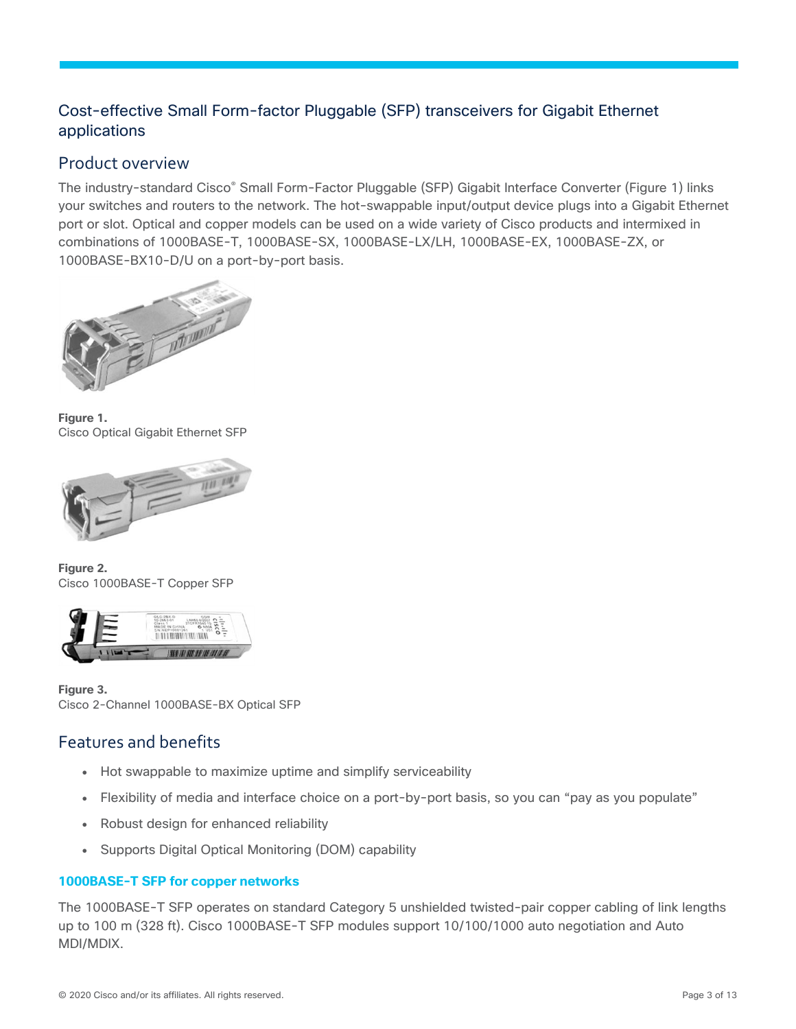## Cost-effective Small Form-factor Pluggable (SFP) transceivers for Gigabit Ethernet applications

## Product overview

The industry-standard Cisco® Small Form-Factor Pluggable (SFP) Gigabit Interface Converter (Figure 1) links your switches and routers to the network. The hot-swappable input/output device plugs into a Gigabit Ethernet port or slot. Optical and copper models can be used on a wide variety of Cisco products and intermixed in combinations of 1000BASE-T, 1000BASE-SX, 1000BASE-LX/LH, 1000BASE-EX, 1000BASE-ZX, or 1000BASE-BX10-D/U on a port-by-port basis.



**Figure 1.**  Cisco Optical Gigabit Ethernet SFP



**Figure 2.**  Cisco 1000BASE-T Copper SFP



**Figure 3.**  Cisco 2-Channel 1000BASE-BX Optical SFP

## <span id="page-2-0"></span>Features and benefits

- Hot swappable to maximize uptime and simplify serviceability
- Flexibility of media and interface choice on a port-by-port basis, so you can "pay as you populate"
- Robust design for enhanced reliability
- Supports Digital Optical Monitoring (DOM) capability

#### **1000BASE-T SFP for copper networks**

The 1000BASE-T SFP operates on standard Category 5 unshielded twisted-pair copper cabling of link lengths up to 100 m (328 ft). Cisco 1000BASE-T SFP modules support 10/100/1000 auto negotiation and Auto MDI/MDIX.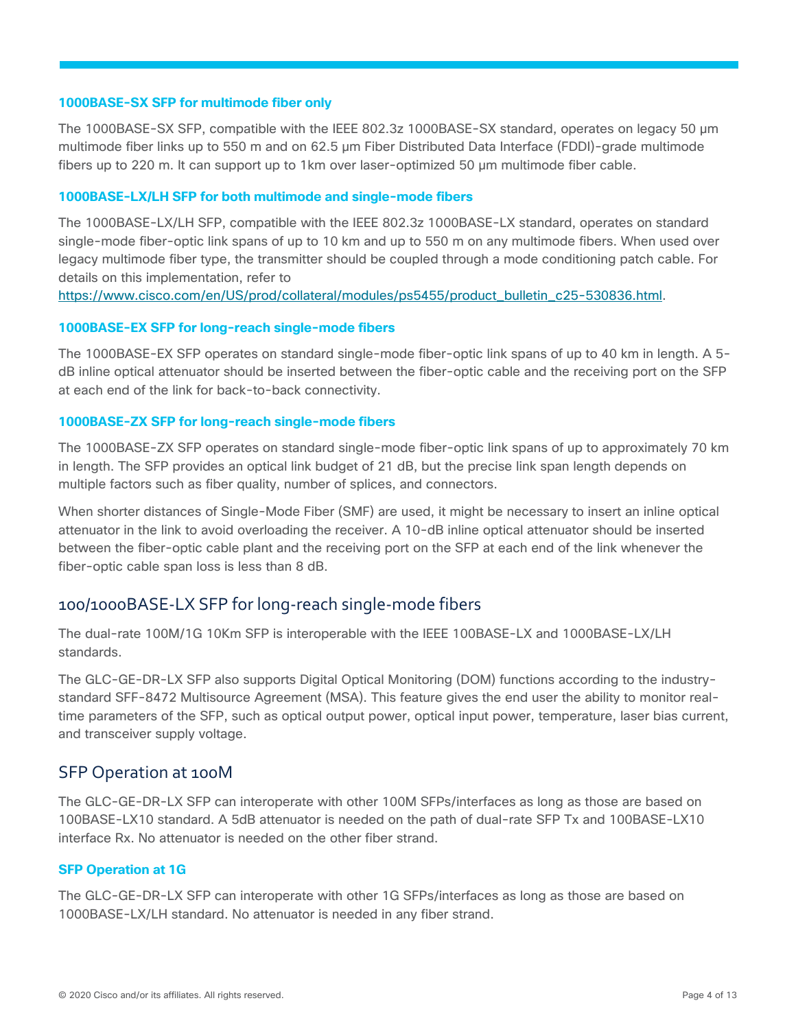#### **1000BASE-SX SFP for multimode fiber only**

The 1000BASE-SX SFP, compatible with the IEEE 802.3z 1000BASE-SX standard, operates on legacy 50 μm multimode fiber links up to 550 m and on 62.5 μm Fiber Distributed Data Interface (FDDI)-grade multimode fibers up to 220 m. It can support up to 1km over laser-optimized 50 μm multimode fiber cable.

#### **1000BASE-LX/LH SFP for both multimode and single-mode fibers**

The 1000BASE-LX/LH SFP, compatible with the IEEE 802.3z 1000BASE-LX standard, operates on standard single-mode fiber-optic link spans of up to 10 km and up to 550 m on any multimode fibers. When used over legacy multimode fiber type, the transmitter should be coupled through a mode conditioning patch cable. For details on this implementation, refer to

[https://www.cisco.com/en/US/prod/collateral/modules/ps5455/product\\_bulletin\\_c25-530836.html.](https://www.cisco.com/en/US/prod/collateral/modules/ps5455/product_bulletin_c25-530836.html)

#### **1000BASE-EX SFP for long-reach single-mode fibers**

The 1000BASE-EX SFP operates on standard single-mode fiber-optic link spans of up to 40 km in length. A 5 dB inline optical attenuator should be inserted between the fiber-optic cable and the receiving port on the SFP at each end of the link for back-to-back connectivity.

#### **1000BASE-ZX SFP for long-reach single-mode fibers**

The 1000BASE-ZX SFP operates on standard single-mode fiber-optic link spans of up to approximately 70 km in length. The SFP provides an optical link budget of 21 dB, but the precise link span length depends on multiple factors such as fiber quality, number of splices, and connectors.

When shorter distances of Single-Mode Fiber (SMF) are used, it might be necessary to insert an inline optical attenuator in the link to avoid overloading the receiver. A 10-dB inline optical attenuator should be inserted between the fiber-optic cable plant and the receiving port on the SFP at each end of the link whenever the fiber-optic cable span loss is less than 8 dB.

#### <span id="page-3-0"></span>100/1000BASE-LX SFP for long-reach single-mode fibers

The dual-rate 100M/1G 10Km SFP is interoperable with the IEEE 100BASE-LX and 1000BASE-LX/LH standards.

The GLC-GE-DR-LX SFP also supports Digital Optical Monitoring (DOM) functions according to the industrystandard SFF-8472 Multisource Agreement (MSA). This feature gives the end user the ability to monitor realtime parameters of the SFP, such as optical output power, optical input power, temperature, laser bias current, and transceiver supply voltage.

#### <span id="page-3-1"></span>SFP Operation at 100M

The GLC-GE-DR-LX SFP can interoperate with other 100M SFPs/interfaces as long as those are based on 100BASE-LX10 standard. A 5dB attenuator is needed on the path of dual-rate SFP Tx and 100BASE-LX10 interface Rx. No attenuator is needed on the other fiber strand.

#### **SFP Operation at 1G**

The GLC-GE-DR-LX SFP can interoperate with other 1G SFPs/interfaces as long as those are based on 1000BASE-LX/LH standard. No attenuator is needed in any fiber strand.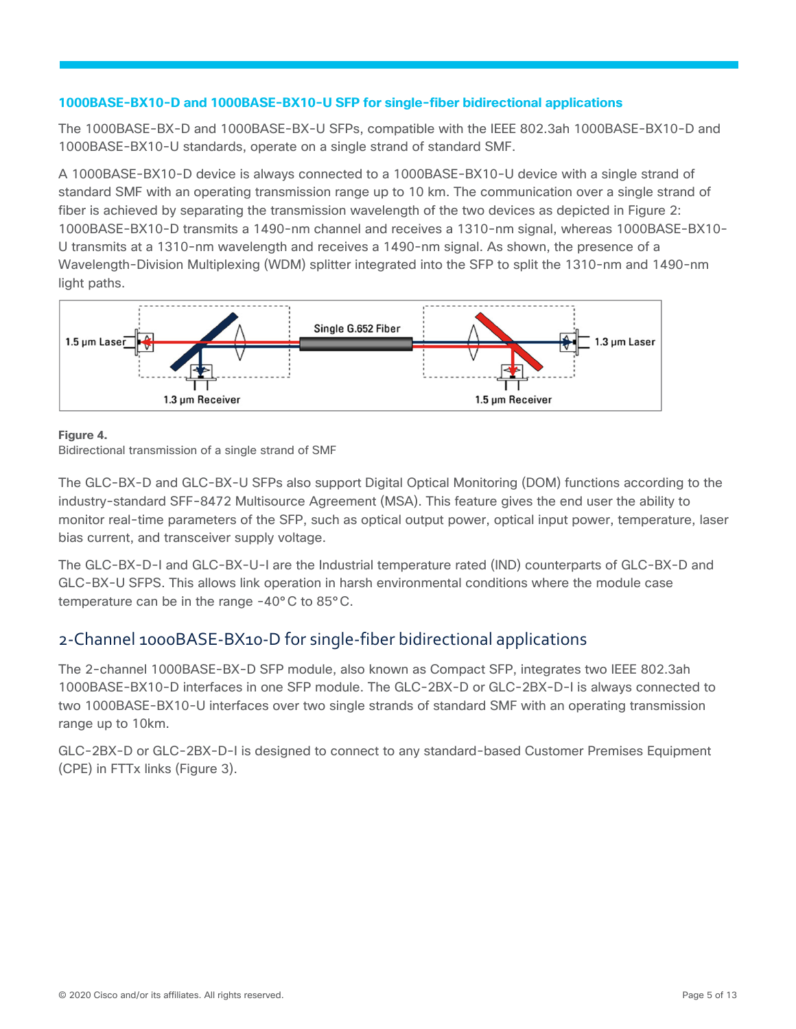#### **1000BASE-BX10-D and 1000BASE-BX10-U SFP for single-fiber bidirectional applications**

The 1000BASE-BX-D and 1000BASE-BX-U SFPs, compatible with the IEEE 802.3ah 1000BASE-BX10-D and 1000BASE-BX10-U standards, operate on a single strand of standard SMF.

A 1000BASE-BX10-D device is always connected to a 1000BASE-BX10-U device with a single strand of standard SMF with an operating transmission range up to 10 km. The communication over a single strand of fiber is achieved by separating the transmission wavelength of the two devices as depicted in Figure 2: 1000BASE-BX10-D transmits a 1490-nm channel and receives a 1310-nm signal, whereas 1000BASE-BX10- U transmits at a 1310-nm wavelength and receives a 1490-nm signal. As shown, the presence of a Wavelength-Division Multiplexing (WDM) splitter integrated into the SFP to split the 1310-nm and 1490-nm light paths.



#### **Figure 4.**

Bidirectional transmission of a single strand of SMF

The GLC-BX-D and GLC-BX-U SFPs also support Digital Optical Monitoring (DOM) functions according to the industry-standard SFF-8472 Multisource Agreement (MSA). This feature gives the end user the ability to monitor real-time parameters of the SFP, such as optical output power, optical input power, temperature, laser bias current, and transceiver supply voltage.

The GLC-BX-D-I and GLC-BX-U-I are the Industrial temperature rated (IND) counterparts of GLC-BX-D and GLC-BX-U SFPS. This allows link operation in harsh environmental conditions where the module case temperature can be in the range -40°C to 85°C.

## <span id="page-4-0"></span>2-Channel 1000BASE-BX10-D for single-fiber bidirectional applications

The 2-channel 1000BASE-BX-D SFP module, also known as Compact SFP, integrates two IEEE 802.3ah 1000BASE-BX10-D interfaces in one SFP module. The GLC-2BX-D or GLC-2BX-D-I is always connected to two 1000BASE-BX10-U interfaces over two single strands of standard SMF with an operating transmission range up to 10km.

GLC-2BX-D or GLC-2BX-D-I is designed to connect to any standard-based Customer Premises Equipment (CPE) in FTTx links (Figure 3).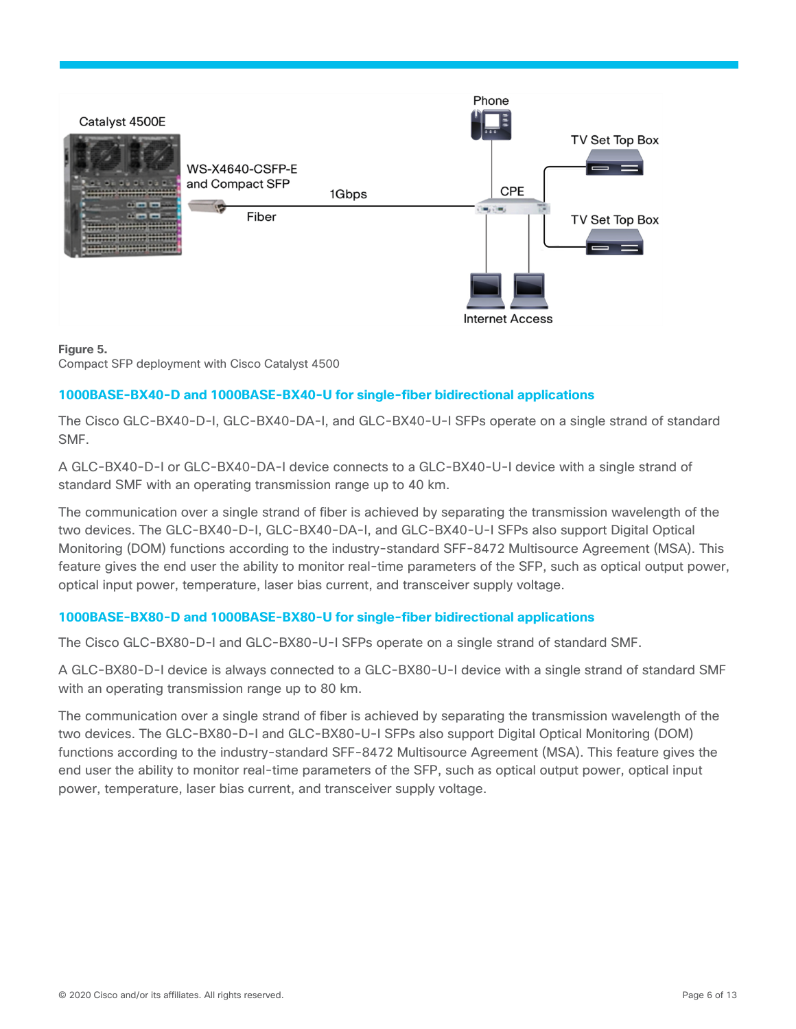

#### **Figure 5.**

Compact SFP deployment with Cisco Catalyst 4500

#### **1000BASE-BX40-D and 1000BASE-BX40-U for single-fiber bidirectional applications**

The Cisco GLC-BX40-D-I, GLC-BX40-DA-I, and GLC-BX40-U-I SFPs operate on a single strand of standard SMF.

A GLC-BX40-D-I or GLC-BX40-DA-I device connects to a GLC-BX40-U-I device with a single strand of standard SMF with an operating transmission range up to 40 km.

The communication over a single strand of fiber is achieved by separating the transmission wavelength of the two devices. The GLC-BX40-D-I, GLC-BX40-DA-I, and GLC-BX40-U-I SFPs also support Digital Optical Monitoring (DOM) functions according to the industry-standard SFF-8472 Multisource Agreement (MSA). This feature gives the end user the ability to monitor real-time parameters of the SFP, such as optical output power, optical input power, temperature, laser bias current, and transceiver supply voltage.

#### **1000BASE-BX80-D and 1000BASE-BX80-U for single-fiber bidirectional applications**

The Cisco GLC-BX80-D-I and GLC-BX80-U-I SFPs operate on a single strand of standard SMF.

A GLC-BX80-D-I device is always connected to a GLC-BX80-U-I device with a single strand of standard SMF with an operating transmission range up to 80 km.

The communication over a single strand of fiber is achieved by separating the transmission wavelength of the two devices. The GLC-BX80-D-I and GLC-BX80-U-I SFPs also support Digital Optical Monitoring (DOM) functions according to the industry-standard SFF-8472 Multisource Agreement (MSA). This feature gives the end user the ability to monitor real-time parameters of the SFP, such as optical output power, optical input power, temperature, laser bias current, and transceiver supply voltage.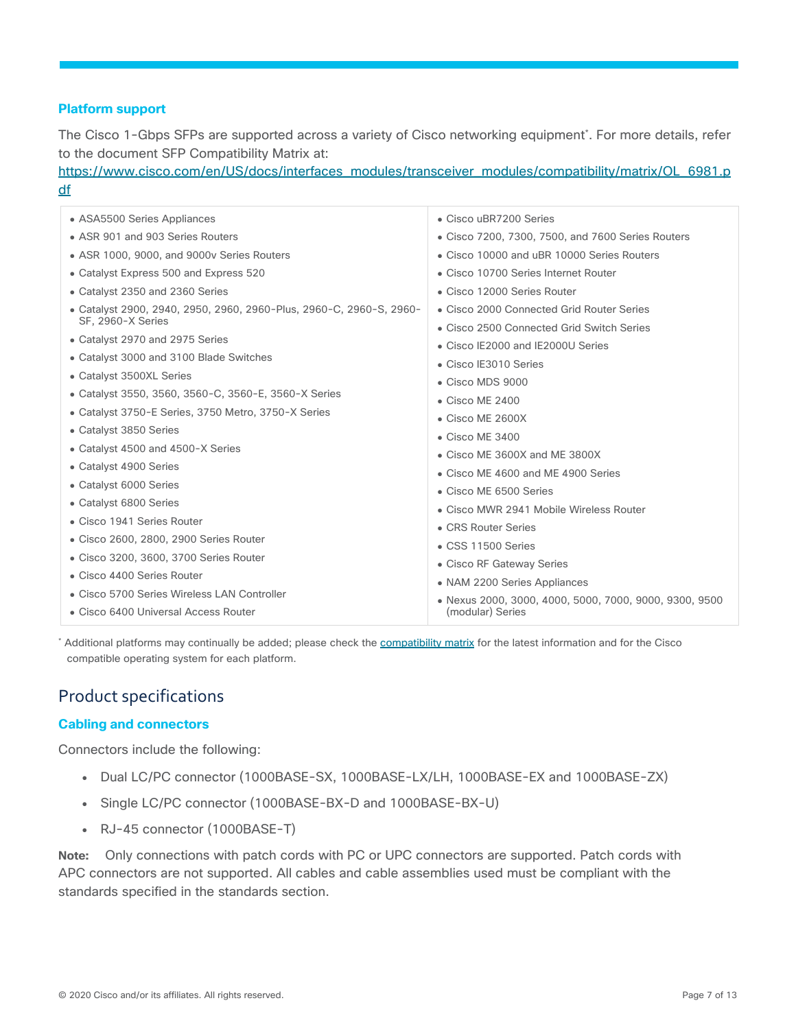#### **Platform support**

The Cisco 1-Gbps SFPs are supported across a variety of Cisco networking equipment\* . For more details, refer to the document SFP Compatibility Matrix at:

[https://www.cisco.com/en/US/docs/interfaces\\_modules/transceiver\\_modules/compatibility/matrix/OL\\_6981.p](https://www.cisco.com/en/US/docs/interfaces_modules/transceiver_modules/compatibility/matrix/OL_6981.pdf) [df](https://www.cisco.com/en/US/docs/interfaces_modules/transceiver_modules/compatibility/matrix/OL_6981.pdf)

| • ASA5500 Series Appliances                                                              | • Cisco uBR7200 Series                                    |
|------------------------------------------------------------------------------------------|-----------------------------------------------------------|
| • ASR 901 and 903 Series Routers                                                         | • Cisco 7200, 7300, 7500, and 7600 Series Routers         |
| • ASR 1000, 9000, and 9000v Series Routers                                               | • Cisco 10000 and uBR 10000 Series Routers                |
| • Catalyst Express 500 and Express 520                                                   | • Cisco 10700 Series Internet Router                      |
| • Catalyst 2350 and 2360 Series                                                          | • Cisco 12000 Series Router                               |
| • Catalyst 2900, 2940, 2950, 2960, 2960-Plus, 2960-C, 2960-S, 2960-<br>SF. 2960-X Series | • Cisco 2000 Connected Grid Router Series                 |
| • Catalyst 2970 and 2975 Series                                                          | • Cisco 2500 Connected Grid Switch Series                 |
| • Catalyst 3000 and 3100 Blade Switches                                                  | • Cisco IE2000 and IE2000U Series                         |
| • Catalyst 3500XL Series                                                                 | • Cisco IE3010 Series                                     |
| • Catalyst 3550, 3560, 3560-C, 3560-E, 3560-X Series                                     | • Cisco MDS 9000                                          |
| • Catalyst 3750-E Series, 3750 Metro, 3750-X Series                                      | • Cisco ME 2400                                           |
| • Catalyst 3850 Series                                                                   | $\bullet$ Cisco ME 2600X<br>$\bullet$ Cisco ME 3400       |
| • Catalyst 4500 and 4500-X Series                                                        | • Cisco ME 3600X and ME 3800X                             |
| • Catalyst 4900 Series                                                                   | • Cisco ME 4600 and ME 4900 Series                        |
| • Catalyst 6000 Series                                                                   | • Cisco ME 6500 Series                                    |
| • Catalyst 6800 Series                                                                   | • Cisco MWR 2941 Mobile Wireless Router                   |
| • Cisco 1941 Series Router                                                               | • CRS Router Series                                       |
| • Cisco 2600, 2800, 2900 Series Router                                                   | • CSS 11500 Series                                        |
| • Cisco 3200, 3600, 3700 Series Router                                                   |                                                           |
| • Cisco 4400 Series Router                                                               | • Cisco RF Gateway Series<br>• NAM 2200 Series Appliances |
| • Cisco 5700 Series Wireless LAN Controller                                              | · Nexus 2000, 3000, 4000, 5000, 7000, 9000, 9300, 9500    |
| • Cisco 6400 Universal Access Router                                                     | (modular) Series                                          |

\* Additional platforms may continually be added; please check th[e compatibility matrix](http://www.cisco.com/c/en/us/td/docs/interfaces_modules/transceiver_modules/compatibility/matrix/GE_Tx_Matrix.html) for the latest information and for the Cisco compatible operating system for each platform.

## <span id="page-6-0"></span>Product specifications

#### **Cabling and connectors**

Connectors include the following:

- Dual LC/PC connector (1000BASE-SX, 1000BASE-LX/LH, 1000BASE-EX and 1000BASE-ZX)
- Single LC/PC connector (1000BASE-BX-D and 1000BASE-BX-U)
- RJ-45 connector (1000BASE-T)

**Note:** Only connections with patch cords with PC or UPC connectors are supported. Patch cords with APC connectors are not supported. All cables and cable assemblies used must be compliant with the standards specified in the standards section.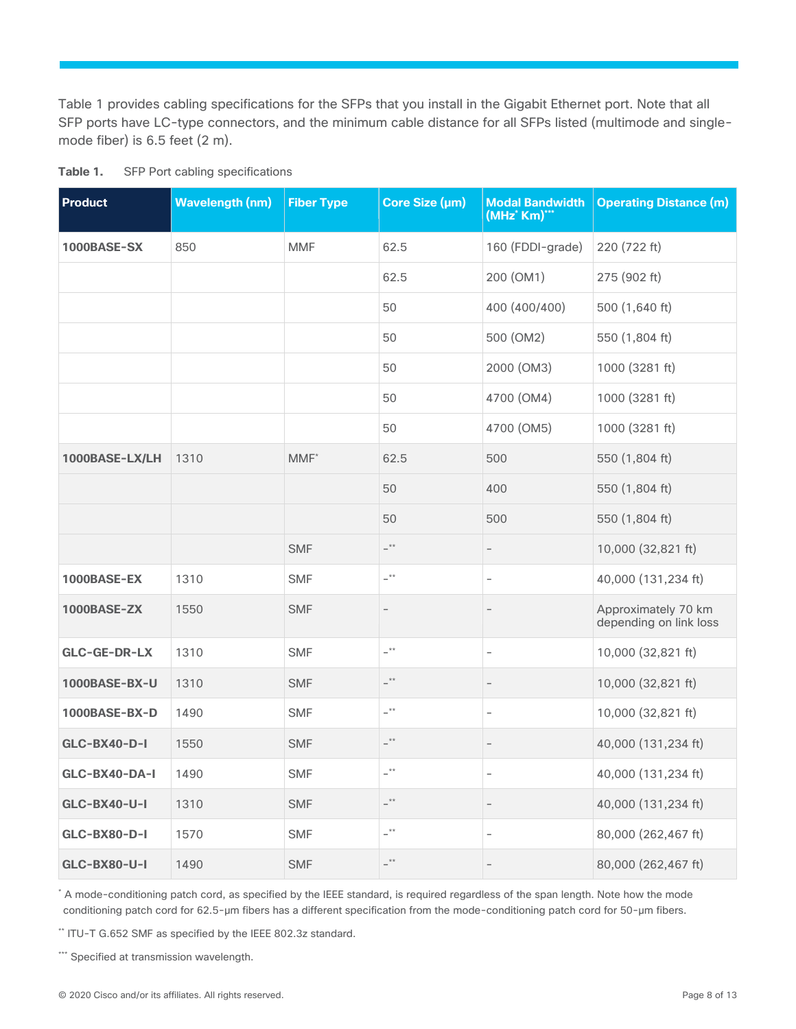Table 1 provides cabling specifications for the SFPs that you install in the Gigabit Ethernet port. Note that all SFP ports have LC-type connectors, and the minimum cable distance for all SFPs listed (multimode and singlemode fiber) is 6.5 feet (2 m).

| <b>Product</b>      | <b>Wavelength (nm)</b> | <b>Fiber Type</b> | Core Size (µm)     | <b>Modal Bandwidth</b><br>(MHz' Km)*** | <b>Operating Distance (m)</b>                 |
|---------------------|------------------------|-------------------|--------------------|----------------------------------------|-----------------------------------------------|
| 1000BASE-SX         | 850                    | <b>MMF</b>        | 62.5               | 160 (FDDI-grade)                       | 220 (722 ft)                                  |
|                     |                        |                   | 62.5               | 200 (OM1)                              | 275 (902 ft)                                  |
|                     |                        |                   | 50                 | 400 (400/400)                          | 500 (1,640 ft)                                |
|                     |                        |                   | 50                 | 500 (OM2)                              | 550 (1,804 ft)                                |
|                     |                        |                   | 50                 | 2000 (OM3)                             | 1000 (3281 ft)                                |
|                     |                        |                   | 50                 | 4700 (OM4)                             | 1000 (3281 ft)                                |
|                     |                        |                   | 50                 | 4700 (OM5)                             | 1000 (3281 ft)                                |
| 1000BASE-LX/LH      | 1310                   | $MMF^*$           | 62.5               | 500                                    | 550 (1,804 ft)                                |
|                     |                        |                   | 50                 | 400                                    | 550 (1,804 ft)                                |
|                     |                        |                   | 50                 | 500                                    | 550 (1,804 ft)                                |
|                     |                        | <b>SMF</b>        | $ ^{\star\star}$   |                                        | 10,000 (32,821 ft)                            |
| 1000BASE-EX         | 1310                   | <b>SMF</b>        | $-$ **             | $\overline{\phantom{a}}$               | 40,000 (131,234 ft)                           |
| <b>1000BASE-ZX</b>  | 1550                   | <b>SMF</b>        | $\qquad \qquad -$  | $\qquad \qquad -$                      | Approximately 70 km<br>depending on link loss |
| GLC-GE-DR-LX        | 1310                   | <b>SMF</b>        | $ ^{\star\star}$   | $\overline{\phantom{0}}$               | 10,000 (32,821 ft)                            |
| 1000BASE-BX-U       | 1310                   | <b>SMF</b>        | $ \overset{**}{-}$ | $\overline{\phantom{a}}$               | 10,000 (32,821 ft)                            |
| 1000BASE-BX-D       | 1490                   | <b>SMF</b>        | $ ^{\star\star}$   | $\overline{\phantom{0}}$               | 10,000 (32,821 ft)                            |
| <b>GLC-BX40-D-I</b> | 1550                   | <b>SMF</b>        | $ ^{\star\star}$   | $\overline{\phantom{0}}$               | 40,000 (131,234 ft)                           |
| GLC-BX40-DA-I       | 1490                   | <b>SMF</b>        | $-$ **             | $\overline{\phantom{a}}$               | 40,000 (131,234 ft)                           |
| <b>GLC-BX40-U-I</b> | 1310                   | <b>SMF</b>        | $ ^{\star\star}$   | $\overline{\phantom{0}}$               | 40,000 (131,234 ft)                           |
| <b>GLC-BX80-D-I</b> | 1570                   | <b>SMF</b>        | $ ^{\star\star}$   | $\overline{\phantom{m}}$               | 80,000 (262,467 ft)                           |
| <b>GLC-BX80-U-I</b> | 1490                   | <b>SMF</b>        | $ ^{\star\star}$   | $\overline{\phantom{0}}$               | 80,000 (262,467 ft)                           |

**Table 1.** SFP Port cabling specifications

\* A mode-conditioning patch cord, as specified by the IEEE standard, is required regardless of the span length. Note how the mode conditioning patch cord for 62.5-μm fibers has a different specification from the mode-conditioning patch cord for 50-μm fibers.

\*\* ITU-T G.652 SMF as specified by the IEEE 802.3z standard.

\*\*\* Specified at transmission wavelength.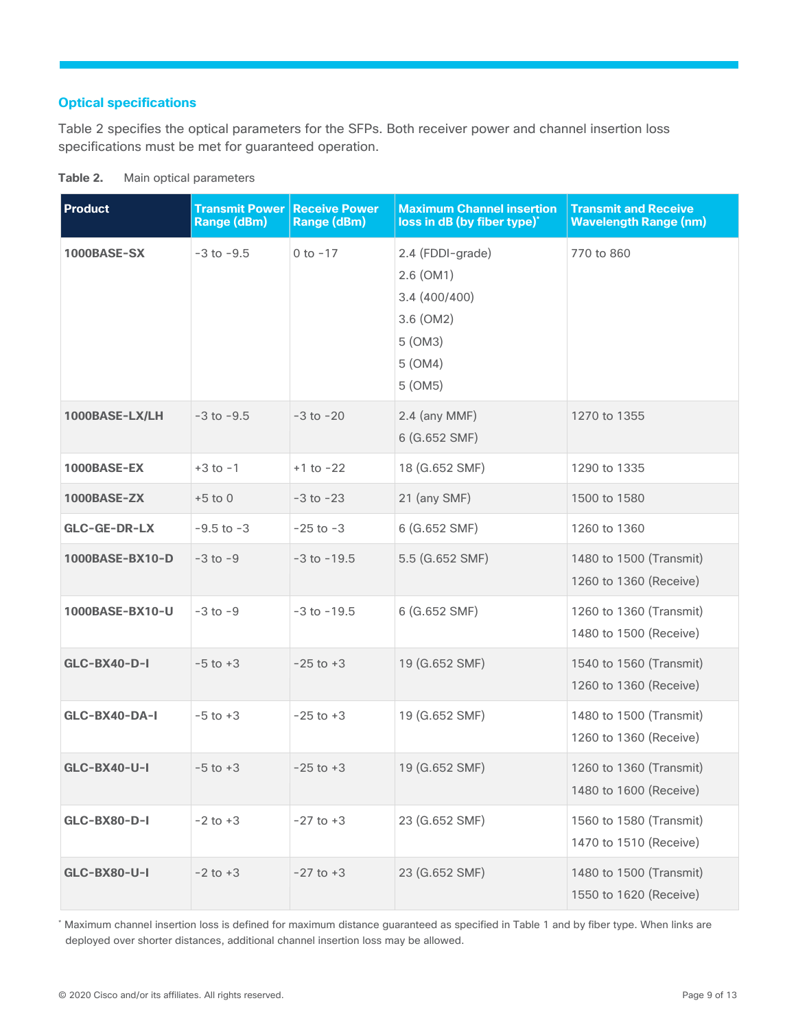#### **Optical specifications**

Table 2 specifies the optical parameters for the SFPs. Both receiver power and channel insertion loss specifications must be met for guaranteed operation.

| <b>Product</b>      | <b>Transmit Power</b><br><b>Range (dBm)</b> | <b>Receive Power</b><br><b>Range (dBm)</b> | <b>Maximum Channel insertion</b><br>loss in dB (by fiber type)*                               | <b>Transmit and Receive</b><br><b>Wavelength Range (nm)</b> |
|---------------------|---------------------------------------------|--------------------------------------------|-----------------------------------------------------------------------------------------------|-------------------------------------------------------------|
| 1000BASE-SX         | $-3$ to $-9.5$                              | $0$ to $-17$                               | 2.4 (FDDI-grade)<br>$2.6$ (OM1)<br>3.4(400/400)<br>3.6 (OM2)<br>5 (OM3)<br>5 (OM4)<br>5 (OM5) | 770 to 860                                                  |
| 1000BASE-LX/LH      | $-3$ to $-9.5$                              | $-3$ to $-20$                              | $2.4$ (any MMF)<br>6 (G.652 SMF)                                                              | 1270 to 1355                                                |
| 1000BASE-EX         | $+3$ to $-1$                                | $+1$ to $-22$                              | 18 (G.652 SMF)                                                                                | 1290 to 1335                                                |
| 1000BASE-ZX         | $+5$ to 0                                   | $-3$ to $-23$                              | 21 (any SMF)                                                                                  | 1500 to 1580                                                |
| GLC-GE-DR-LX        | $-9.5$ to $-3$                              | $-25$ to $-3$                              | 6 (G.652 SMF)                                                                                 | 1260 to 1360                                                |
| 1000BASE-BX10-D     | $-3$ to $-9$                                | $-3$ to $-19.5$                            | 5.5 (G.652 SMF)                                                                               | 1480 to 1500 (Transmit)<br>1260 to 1360 (Receive)           |
| 1000BASE-BX10-U     | $-3$ to $-9$                                | $-3$ to $-19.5$                            | 6 (G.652 SMF)                                                                                 | 1260 to 1360 (Transmit)<br>1480 to 1500 (Receive)           |
| GLC-BX40-D-I        | $-5$ to $+3$                                | $-25$ to $+3$                              | 19 (G.652 SMF)                                                                                | 1540 to 1560 (Transmit)<br>1260 to 1360 (Receive)           |
| GLC-BX40-DA-I       | $-5$ to $+3$                                | $-25$ to $+3$                              | 19 (G.652 SMF)                                                                                | 1480 to 1500 (Transmit)<br>1260 to 1360 (Receive)           |
| GLC-BX40-U-I        | $-5$ to $+3$                                | $-25$ to $+3$                              | 19 (G.652 SMF)                                                                                | 1260 to 1360 (Transmit)<br>1480 to 1600 (Receive)           |
| GLC-BX80-D-I        | $-2$ to $+3$                                | $-27$ to $+3$                              | 23 (G.652 SMF)                                                                                | 1560 to 1580 (Transmit)<br>1470 to 1510 (Receive)           |
| <b>GLC-BX80-U-I</b> | $-2$ to $+3$                                | $-27$ to $+3$                              | 23 (G.652 SMF)                                                                                | 1480 to 1500 (Transmit)<br>1550 to 1620 (Receive)           |

| Table 2. |  |                         |
|----------|--|-------------------------|
|          |  | Main optical parameters |

\* Maximum channel insertion loss is defined for maximum distance guaranteed as specified in Table 1 and by fiber type. When links are deployed over shorter distances, additional channel insertion loss may be allowed.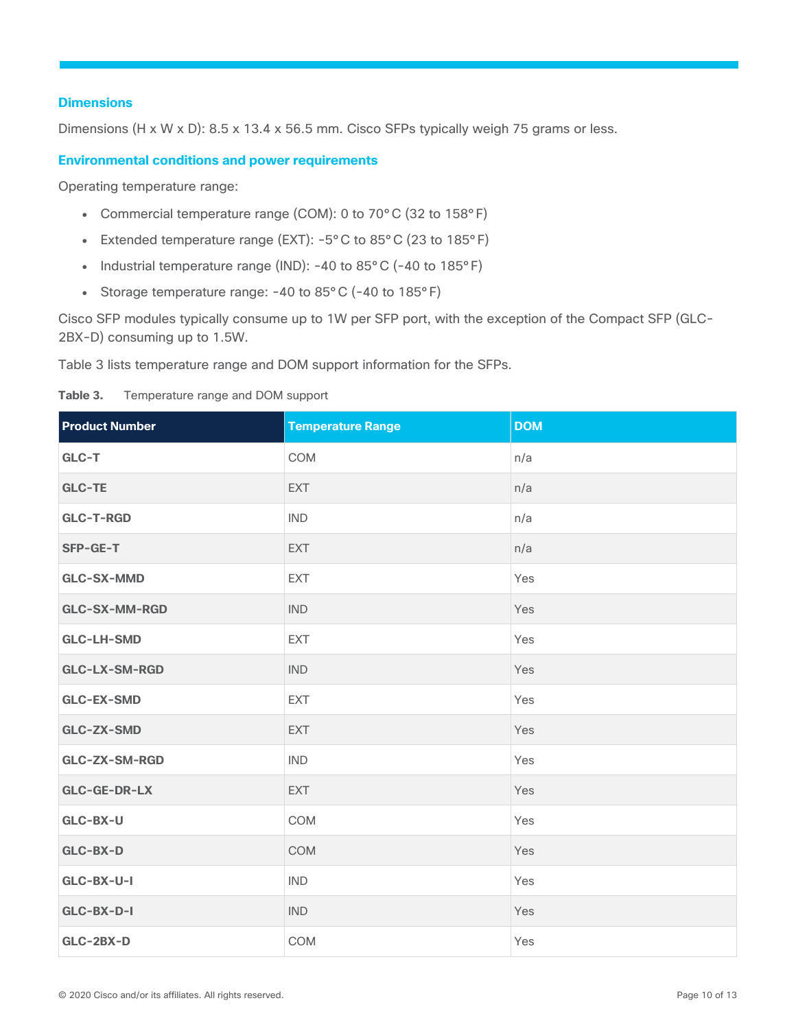#### **Dimensions**

Dimensions (H x W x D): 8.5 x 13.4 x 56.5 mm. Cisco SFPs typically weigh 75 grams or less.

#### **Environmental conditions and power requirements**

Operating temperature range:

- Commercial temperature range (COM): 0 to 70°C (32 to 158°F)
- Extended temperature range (EXT):  $-5^{\circ}$ C to 85°C (23 to 185°F)
- Industrial temperature range (IND): -40 to 85°C (-40 to 185°F)
- Storage temperature range: -40 to 85°C (-40 to 185°F)

Cisco SFP modules typically consume up to 1W per SFP port, with the exception of the Compact SFP (GLC-2BX-D) consuming up to 1.5W.

Table 3 lists temperature range and DOM support information for the SFPs.

#### **Table 3.** Temperature range and DOM support

| <b>Product Number</b> | <b>Temperature Range</b> | <b>DOM</b> |
|-----------------------|--------------------------|------------|
| GLC-T                 | COM                      | n/a        |
| <b>GLC-TE</b>         | EXT                      | n/a        |
| <b>GLC-T-RGD</b>      | <b>IND</b>               | n/a        |
| SFP-GE-T              | EXT                      | n/a        |
| <b>GLC-SX-MMD</b>     | <b>EXT</b>               | Yes        |
| GLC-SX-MM-RGD         | <b>IND</b>               | Yes        |
| <b>GLC-LH-SMD</b>     | EXT                      | Yes        |
| GLC-LX-SM-RGD         | <b>IND</b>               | Yes        |
| <b>GLC-EX-SMD</b>     | EXT                      | Yes        |
| <b>GLC-ZX-SMD</b>     | <b>EXT</b>               | Yes        |
| GLC-ZX-SM-RGD         | <b>IND</b>               | Yes        |
| GLC-GE-DR-LX          | EXT                      | Yes        |
| GLC-BX-U              | COM                      | Yes        |
| GLC-BX-D              | COM                      | Yes        |
| GLC-BX-U-I            | <b>IND</b>               | Yes        |
| GLC-BX-D-I            | <b>IND</b>               | Yes        |
| GLC-2BX-D             | COM                      | Yes        |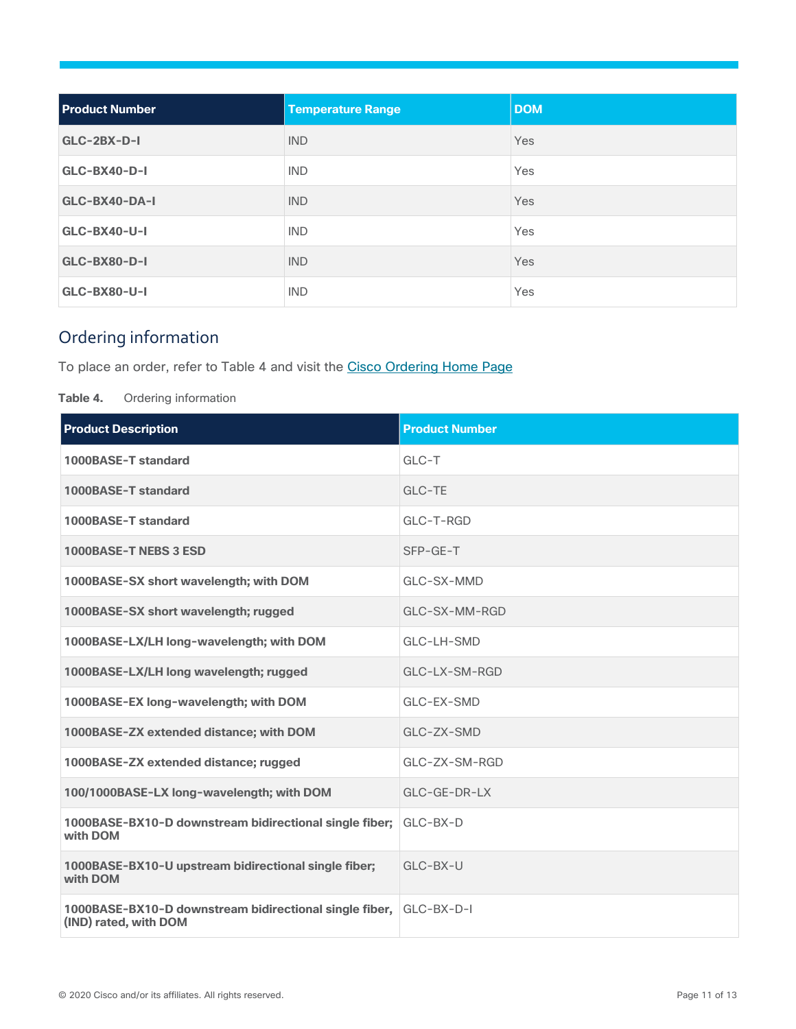| <b>Product Number</b> | <b>Temperature Range</b> | <b>DOM</b> |
|-----------------------|--------------------------|------------|
| $GLC-2BX-D-I$         | <b>IND</b>               | Yes        |
| $GLC-BX40-D-I$        | <b>IND</b>               | Yes        |
| GLC-BX40-DA-I         | <b>IND</b>               | Yes        |
| GLC-BX40-U-I          | <b>IND</b>               | Yes        |
| GLC-BX80-D-I          | <b>IND</b>               | Yes        |
| GLC-BX80-U-I          | <b>IND</b>               | Yes        |

## <span id="page-10-0"></span>Ordering information

To place an order, refer to Table 4 and visit the [Cisco Ordering Home](https://www.cisco.com/web/ordering/root/index.html) Page

**Table 4.** Ordering information

| <b>Product Description</b>                                                      | <b>Product Number</b> |
|---------------------------------------------------------------------------------|-----------------------|
| 1000BASE-T standard                                                             | $GLC-T$               |
| 1000BASE-T standard                                                             | GLC-TE                |
| 1000BASE-T standard                                                             | GLC-T-RGD             |
| 1000BASE-T NEBS 3 ESD                                                           | SFP-GE-T              |
| 1000BASE-SX short wavelength; with DOM                                          | GLC-SX-MMD            |
| 1000BASE-SX short wavelength; rugged                                            | GLC-SX-MM-RGD         |
| 1000BASE-LX/LH long-wavelength; with DOM                                        | GLC-LH-SMD            |
| 1000BASE-LX/LH long wavelength; rugged                                          | GLC-LX-SM-RGD         |
| 1000BASE-EX long-wavelength; with DOM                                           | GLC-EX-SMD            |
| 1000BASE-ZX extended distance; with DOM                                         | GLC-ZX-SMD            |
| 1000BASE-ZX extended distance; rugged                                           | GLC-ZX-SM-RGD         |
| 100/1000BASE-LX long-wavelength; with DOM                                       | GLC-GE-DR-LX          |
| 1000BASE-BX10-D downstream bidirectional single fiber;<br>with DOM              | $GLC-BX-D$            |
| 1000BASE-BX10-U upstream bidirectional single fiber;<br>with DOM                | GLC-BX-U              |
| 1000BASE-BX10-D downstream bidirectional single fiber,<br>(IND) rated, with DOM | $GLC-BX-D-I$          |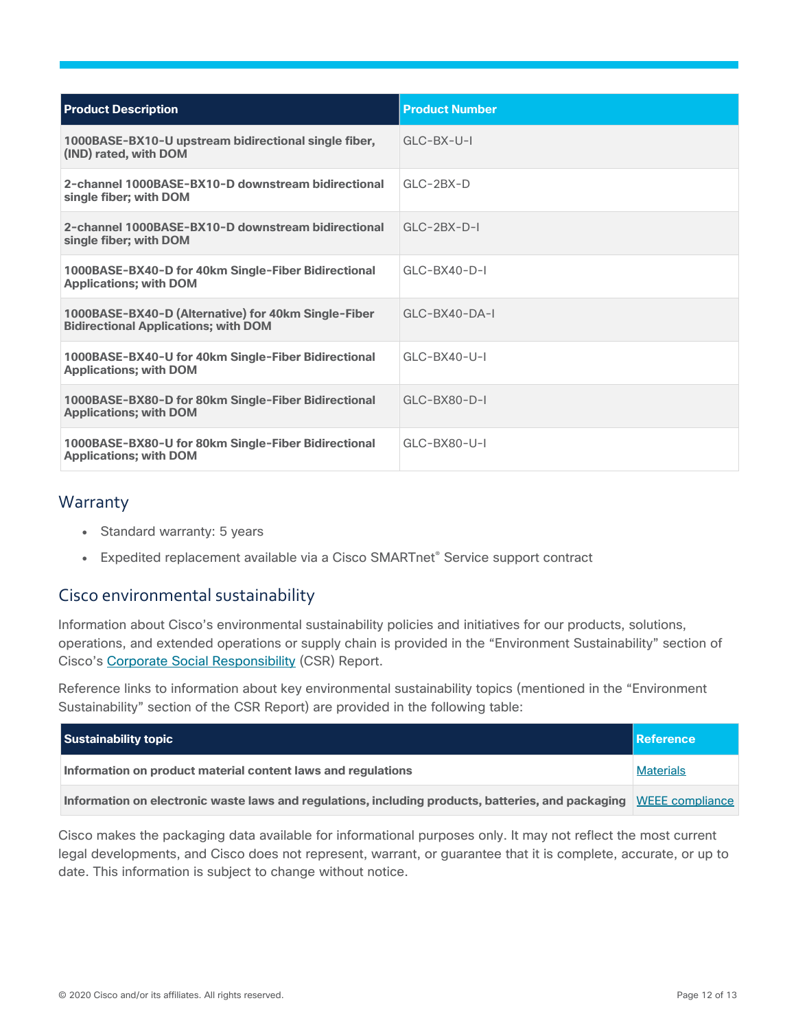| <b>Product Description</b>                                                                         | <b>Product Number</b> |
|----------------------------------------------------------------------------------------------------|-----------------------|
| 1000BASE-BX10-U upstream bidirectional single fiber,<br>(IND) rated, with DOM                      | $GLC-BX-U-I$          |
| 2-channel 1000BASE-BX10-D downstream bidirectional<br>single fiber; with DOM                       | $GLC-2BX-D$           |
| 2-channel 1000BASE-BX10-D downstream bidirectional<br>single fiber; with DOM                       | $GLC-2BX-D-I$         |
| 1000BASE-BX40-D for 40km Single-Fiber Bidirectional<br><b>Applications; with DOM</b>               | $GLC-BX40-D-I$        |
| 1000BASE-BX40-D (Alternative) for 40km Single-Fiber<br><b>Bidirectional Applications; with DOM</b> | $GLC-BX40-DA-I$       |
| 1000BASE-BX40-U for 40km Single-Fiber Bidirectional<br><b>Applications; with DOM</b>               | $GLC-BX40-U-I$        |
| 1000BASE-BX80-D for 80km Single-Fiber Bidirectional<br><b>Applications; with DOM</b>               | $GLC-BX80-D-I$        |
| 1000BASE-BX80-U for 80km Single-Fiber Bidirectional<br><b>Applications; with DOM</b>               | GLC-BX80-U-I          |

## <span id="page-11-0"></span>Warranty

- Standard warranty: 5 years
- Expedited replacement available via a Cisco SMARTnet® Service support contract

## <span id="page-11-1"></span>Cisco environmental sustainability

Information about Cisco's environmental sustainability policies and initiatives for our products, solutions, operations, and extended operations or supply chain is provided in the "Environment Sustainability" section of Cisco's [Corporate Social Responsibility](https://www-1.compliance2product.com/c2p/getAttachment.do?code=YM6Y0yThdO6Wj1FxxYPYfUG2dtFkTeFWGpzLRO8tcURFEifUCRV403Tq2ZMWP6Ai) (CSR) Report.

Reference links to information about key environmental sustainability topics (mentioned in the "Environment Sustainability" section of the CSR Report) are provided in the following table:

| Sustainability topic                                                                                               | Reference        |
|--------------------------------------------------------------------------------------------------------------------|------------------|
| Information on product material content laws and regulations                                                       | <b>Materials</b> |
| Information on electronic waste laws and regulations, including products, batteries, and packaging WEEE compliance |                  |

Cisco makes the packaging data available for informational purposes only. It may not reflect the most current legal developments, and Cisco does not represent, warrant, or guarantee that it is complete, accurate, or up to date. This information is subject to change without notice.